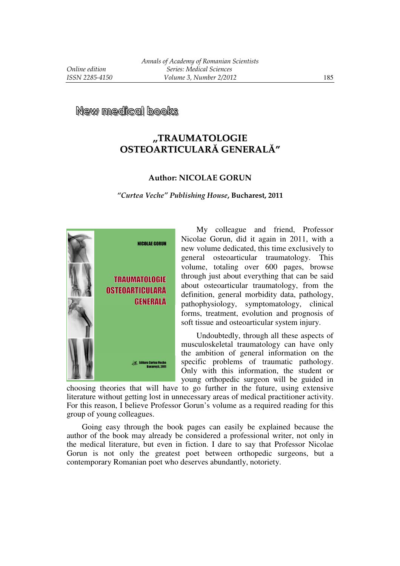## **,,TRAUMATOLOGIE OSTEOARTICULARĂ GENERALĂ"**

## **Author: NICOLAE GORUN**

*"Curtea Veche" Publishing House***, Bucharest, 2011** 



My colleague and friend, Professor Nicolae Gorun, did it again in 2011, with a new volume dedicated, this time exclusively to general osteoarticular traumatology. This volume, totaling over 600 pages, browse through just about everything that can be said about osteoarticular traumatology, from the definition, general morbidity data, pathology, pathophysiology, symptomatology, clinical forms, treatment, evolution and prognosis of soft tissue and osteoarticular system injury.

Undoubtedly, through all these aspects of musculoskeletal traumatology can have only the ambition of general information on the specific problems of traumatic pathology. Only with this information, the student or young orthopedic surgeon will be guided in

choosing theories that will have to go further in the future, using extensive literature without getting lost in unnecessary areas of medical practitioner activity. For this reason, I believe Professor Gorun's volume as a required reading for this group of young colleagues.

Going easy through the book pages can easily be explained because the author of the book may already be considered a professional writer, not only in the medical literature, but even in fiction. I dare to say that Professor Nicolae Gorun is not only the greatest poet between orthopedic surgeons, but a contemporary Romanian poet who deserves abundantly, notoriety.